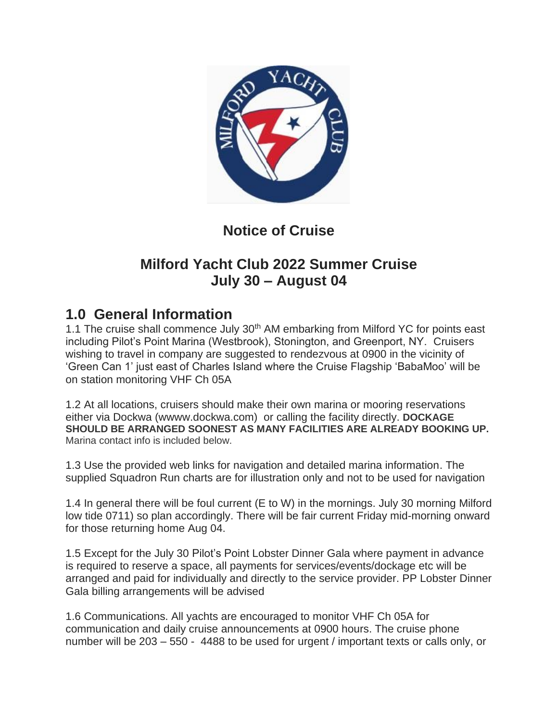

# **Notice of Cruise**

## **Milford Yacht Club 2022 Summer Cruise July 30 – August 04**

## **1.0 General Information**

1.1 The cruise shall commence July 30<sup>th</sup> AM embarking from Milford YC for points east including Pilot's Point Marina (Westbrook), Stonington, and Greenport, NY. Cruisers wishing to travel in company are suggested to rendezvous at 0900 in the vicinity of 'Green Can 1' just east of Charles Island where the Cruise Flagship 'BabaMoo' will be on station monitoring VHF Ch 05A

1.2 At all locations, cruisers should make their own marina or mooring reservations either via Dockwa (wwww.dockwa.com) or calling the facility directly. **DOCKAGE SHOULD BE ARRANGED SOONEST AS MANY FACILITIES ARE ALREADY BOOKING UP.**  Marina contact info is included below.

1.3 Use the provided web links for navigation and detailed marina information. The supplied Squadron Run charts are for illustration only and not to be used for navigation

1.4 In general there will be foul current (E to W) in the mornings. July 30 morning Milford low tide 0711) so plan accordingly. There will be fair current Friday mid-morning onward for those returning home Aug 04.

1.5 Except for the July 30 Pilot's Point Lobster Dinner Gala where payment in advance is required to reserve a space, all payments for services/events/dockage etc will be arranged and paid for individually and directly to the service provider. PP Lobster Dinner Gala billing arrangements will be advised

1.6 Communications. All yachts are encouraged to monitor VHF Ch 05A for communication and daily cruise announcements at 0900 hours. The cruise phone number will be 203 – 550 - 4488 to be used for urgent / important texts or calls only, or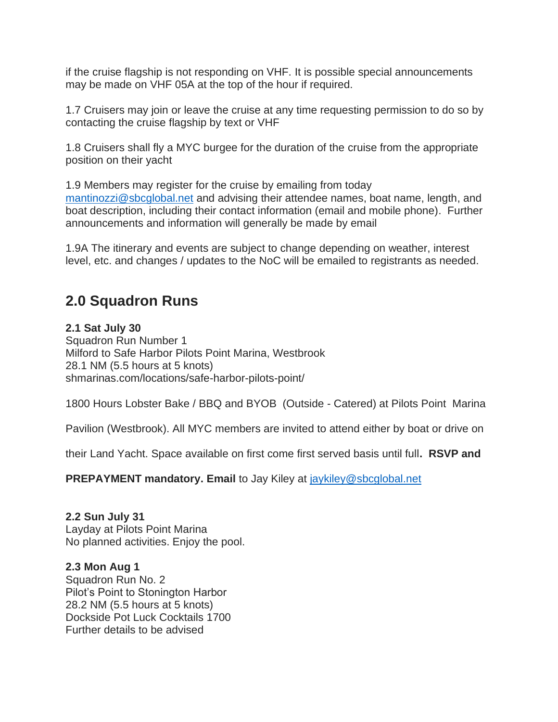if the cruise flagship is not responding on VHF. It is possible special announcements may be made on VHF 05A at the top of the hour if required.

1.7 Cruisers may join or leave the cruise at any time requesting permission to do so by contacting the cruise flagship by text or VHF

1.8 Cruisers shall fly a MYC burgee for the duration of the cruise from the appropriate position on their yacht

1.9 Members may register for the cruise by emailing from today [mantinozzi@sbcglobal.net](mailto:mantinozzi@sbcglobal.net) and advising their attendee names, boat name, length, and boat description, including their contact information (email and mobile phone). Further announcements and information will generally be made by email

1.9A The itinerary and events are subject to change depending on weather, interest level, etc. and changes / updates to the NoC will be emailed to registrants as needed.

## **2.0 Squadron Runs**

### **2.1 Sat July 30**

Squadron Run Number 1 Milford to Safe Harbor Pilots Point Marina, Westbrook 28.1 NM (5.5 hours at 5 knots) shmarinas.com/locations/safe-harbor-pilots-point/

1800 Hours Lobster Bake / BBQ and BYOB (Outside - Catered) at Pilots Point Marina

Pavilion (Westbrook). All MYC members are invited to attend either by boat or drive on

their Land Yacht. Space available on first come first served basis until full**. RSVP and** 

**PREPAYMENT mandatory. Email** to Jay Kiley at *jaykiley@sbcglobal.net* 

## **2.2 Sun July 31**

Layday at Pilots Point Marina No planned activities. Enjoy the pool.

#### **2.3 Mon Aug 1**

Squadron Run No. 2 Pilot's Point to Stonington Harbor 28.2 NM (5.5 hours at 5 knots) Dockside Pot Luck Cocktails 1700 Further details to be advised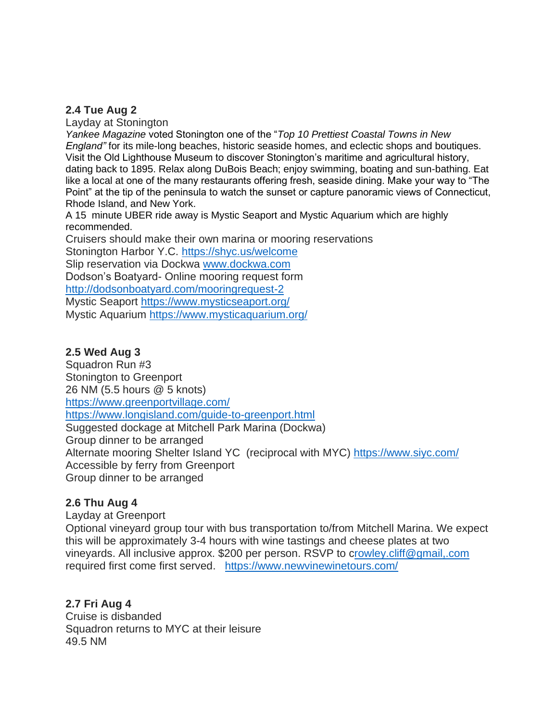#### **2.4 Tue Aug 2**

Layday at Stonington

*Yankee Magazine* voted Stonington one of the "*Top 10 Prettiest Coastal Towns in New England"* for its mile-long beaches, historic seaside homes, and eclectic shops and boutiques. Visit the Old Lighthouse Museum to discover Stonington's maritime and agricultural history, dating back to 1895. Relax along DuBois Beach; enjoy swimming, boating and sun-bathing. Eat like a local at one of the many restaurants offering fresh, seaside dining. Make your way to "The Point" at the tip of the peninsula to watch the sunset or capture panoramic views of Connecticut, Rhode Island, and New York.

A 15 minute UBER ride away is Mystic Seaport and Mystic Aquarium which are highly recommended.

Cruisers should make their own marina or mooring reservations

Stonington Harbor Y.C. [https://shyc.us/welcome](https://shyc.us/welcome/)

Slip reservation via Dockwa [www.dockwa.com](http://www.dockwa.com/)

Dodson's Boatyard- Online mooring request form

<http://dodsonboatyard.com/mooringrequest-2>

Mystic Seaport<https://www.mysticseaport.org/>

Mystic Aquarium<https://www.mysticaquarium.org/>

#### **2.5 Wed Aug 3**

Squadron Run #3 Stonington to Greenport 26 NM (5.5 hours @ 5 knots) <https://www.greenportvillage.com/> <https://www.longisland.com/guide-to-greenport.html> Suggested dockage at Mitchell Park Marina (Dockwa) Group dinner to be arranged Alternate mooring Shelter Island YC (reciprocal with MYC)<https://www.siyc.com/> Accessible by ferry from Greenport Group dinner to be arranged

#### **2.6 Thu Aug 4**

Layday at Greenport

Optional vineyard group tour with bus transportation to/from Mitchell Marina. We expect this will be approximately 3-4 hours with wine tastings and cheese plates at two vineyards. All inclusive approx. \$200 per person. RSVP to [crowley.cliff@gmail,.com](mailto:rowley.cliff@gmail,.com) required first come first served. <https://www.newvinewinetours.com/>

## **2.7 Fri Aug 4**

Cruise is disbanded Squadron returns to MYC at their leisure 49.5 NM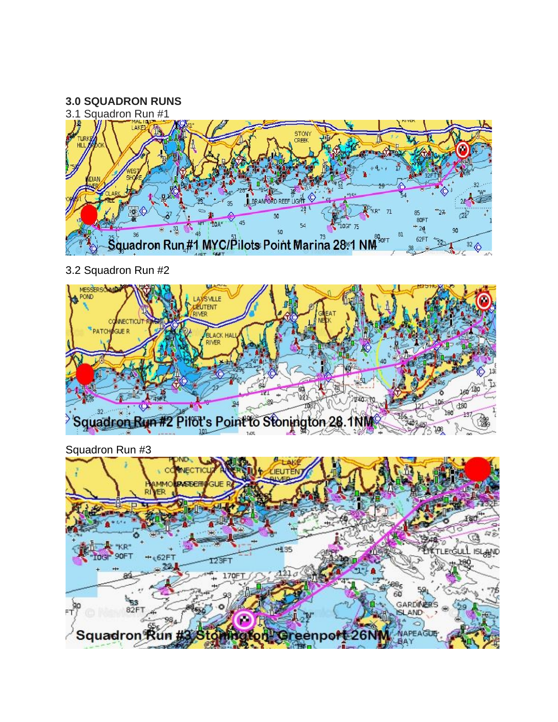

3.2 Squadron Run #2



Squadron Run #3

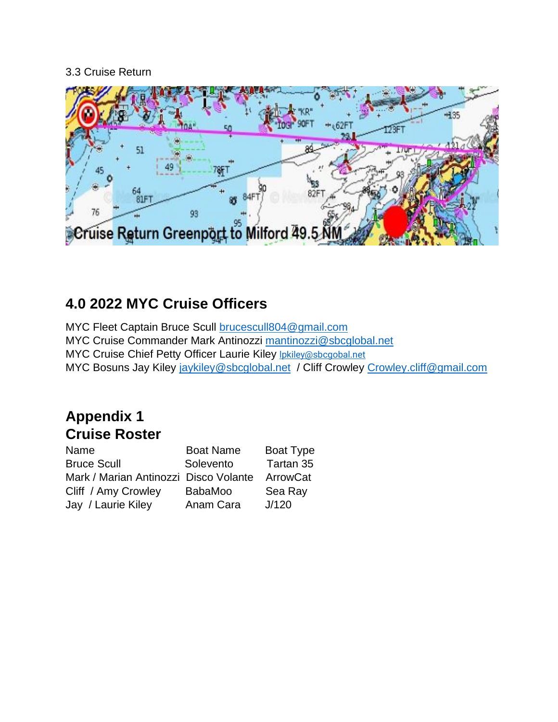## 3.3 Cruise Return



# **4.0 2022 MYC Cruise Officers**

MYC Fleet Captain Bruce Scull [brucescull804@gmail.com](mailto:brucescull804@gmail.com) MYC Cruise Commander Mark Antinozzi [mantinozzi@sbcglobal.net](mailto:mantinozzi@sbcglobal.net) MYC Cruise Chief Petty Officer Laurie Kiley *Ipkiley@sbcgobal.net* MYC Bosuns Jay Kiley [jaykiley@sbcglobal.net](mailto:jaykiley@sbcglobal.net) / Cliff Crowley [Crowley.cliff@gmail.com](mailto:Crowley.cliff@gmail.com)

# **Appendix 1 Cruise Roster**

| Name                                  | <b>Boat Name</b> | Boat Type |
|---------------------------------------|------------------|-----------|
| <b>Bruce Scull</b>                    | Solevento        | Tartan 35 |
| Mark / Marian Antinozzi Disco Volante |                  | ArrowCat  |
| Cliff / Amy Crowley                   | <b>BabaMoo</b>   | Sea Ray   |
| Jay / Laurie Kiley                    | Anam Cara        | J/120     |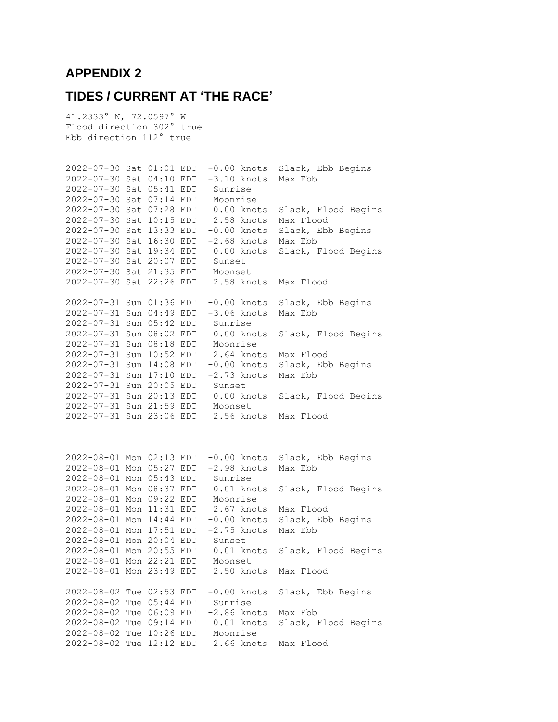### **APPENDIX 2**

## **TIDES / CURRENT AT 'THE RACE'**

41.2333° N, 72.0597° W Flood direction 302° true Ebb direction 112° true

2022-07-30 Sat 01:01 EDT -0.00 knots Slack, Ebb Begins 2022-07-30 Sat 04:10 EDT -3.10 knots Max Ebb 2022-07-30 Sat 05:41 EDT Sunrise 2022-07-30 Sat 07:14 EDT Moonrise 2022-07-30 Sat 07:28 EDT 0.00 knots Slack, Flood Begins 2022-07-30 Sat 10:15 EDT 2.58 knots Max Flood 2022-07-30 Sat 13:33 EDT -0.00 knots Slack, Ebb Begins 2022-07-30 Sat 16:30 EDT -2.68 knots Max Ebb 2022-07-30 Sat 19:34 EDT 0.00 knots Slack, Flood Begins 2022-07-30 Sat 20:07 EDT Sunset 2022-07-30 Sat 21:35 EDT Moonset 2022-07-30 Sat 22:26 EDT 2.58 knots Max Flood 2022-07-31 Sun 01:36 EDT -0.00 knots Slack, Ebb Begins 2022-07-31 Sun 04:49 EDT -3.06 knots Max Ebb 2022-07-31 Sun 05:42 EDT Sunrise 2022-07-31 Sun 08:02 EDT 0.00 knots Slack, Flood Begins 2022-07-31 Sun 08:18 EDT Moonrise 2022-07-31 Sun 10:52 EDT 2.64 knots Max Flood 2022-07-31 Sun 14:08 EDT -0.00 knots Slack, Ebb Begins 2022-07-31 Sun 17:10 EDT -2.73 knots Max Ebb 2022-07-31 Sun 20:05 EDT Sunset 2022-07-31 Sun 20:13 EDT 0.00 knots Slack, Flood Begins 2022-07-31 Sun 21:59 EDT Moonset 2022-07-31 Sun 23:06 EDT 2.56 knots Max Flood 2022-08-01 Mon 02:13 EDT -0.00 knots Slack, Ebb Begins 2022-08-01 Mon 05:27 EDT -2.98 knots Max Ebb 2022-08-01 Mon 05:43 EDT Sunrise 2022-08-01 Mon 08:37 EDT 0.01 knots Slack, Flood Begins 2022-08-01 Mon 09:22 EDT Moonrise 2022-08-01 Mon 11:31 EDT 2.67 knots Max Flood 2022-08-01 Mon 14:44 EDT -0.00 knots Slack, Ebb Begins 2022-08-01 Mon 17:51 EDT -2.75 knots Max Ebb 2022-08-01 Mon 20:04 EDT Sunset 2022-08-01 Mon 20:55 EDT 0.01 knots Slack, Flood Begins 2022-08-01 Mon 22:21 EDT Moonset 2022-08-01 Mon 23:49 EDT 2.50 knots Max Flood 2022-08-02 Tue 02:53 EDT -0.00 knots Slack, Ebb Begins 2022-08-02 Tue 05:44 EDT Sunrise 2022-08-02 Tue 06:09 EDT -2.86 knots Max Ebb 2022-08-02 Tue 09:14 EDT 0.01 knots Slack, Flood Begins 2022-08-02 Tue 10:26 EDT Moonrise 2022-08-02 Tue 12:12 EDT 2.66 knots Max Flood